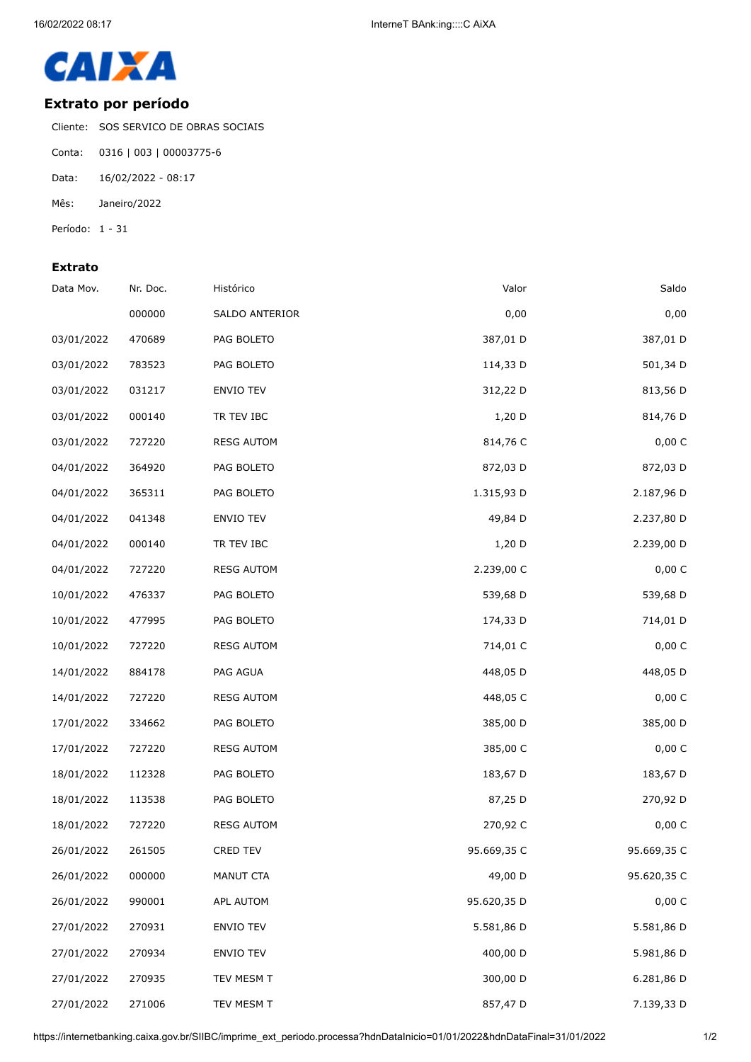

## **Extrato por período**

Cliente: SOS SERVICO DE OBRAS SOCIAIS

- Conta: 0316 | 003 | 00003775-6
- Data: 16/02/2022 08:17
- Mês: Janeiro/2022
- Período: 1 31

## **Extrato**

| Saldo       | Valor       | Histórico         | Nr. Doc. | Data Mov.  |
|-------------|-------------|-------------------|----------|------------|
| 0,00        | 0,00        | SALDO ANTERIOR    | 000000   |            |
| 387,01 D    | 387,01 D    | PAG BOLETO        | 470689   | 03/01/2022 |
| 501,34 D    | 114,33 D    | PAG BOLETO        | 783523   | 03/01/2022 |
| 813,56 D    | 312,22 D    | ENVIO TEV         | 031217   | 03/01/2022 |
| 814,76 D    | 1,20 D      | TR TEV IBC        | 000140   | 03/01/2022 |
| 0,00 C      | 814,76 C    | <b>RESG AUTOM</b> | 727220   | 03/01/2022 |
| 872,03 D    | 872,03 D    | PAG BOLETO        | 364920   | 04/01/2022 |
| 2.187,96 D  | 1.315,93 D  | PAG BOLETO        | 365311   | 04/01/2022 |
| 2.237,80 D  | 49,84 D     | <b>ENVIO TEV</b>  | 041348   | 04/01/2022 |
| 2.239,00 D  | 1,20 D      | TR TEV IBC        | 000140   | 04/01/2022 |
| 0,00C       | 2.239,00 C  | <b>RESG AUTOM</b> | 727220   | 04/01/2022 |
| 539,68 D    | 539,68 D    | PAG BOLETO        | 476337   | 10/01/2022 |
| 714,01 D    | 174,33 D    | PAG BOLETO        | 477995   | 10/01/2022 |
| 0,00 C      | 714,01 C    | <b>RESG AUTOM</b> | 727220   | 10/01/2022 |
| 448,05 D    | 448,05 D    | PAG AGUA          | 884178   | 14/01/2022 |
| 0,00 C      | 448,05 C    | <b>RESG AUTOM</b> | 727220   | 14/01/2022 |
| 385,00 D    | 385,00 D    | PAG BOLETO        | 334662   | 17/01/2022 |
| 0,00 C      | 385,00 C    | <b>RESG AUTOM</b> | 727220   | 17/01/2022 |
| 183,67 D    | 183,67 D    | PAG BOLETO        | 112328   | 18/01/2022 |
| 270,92 D    | 87,25 D     | PAG BOLETO        | 113538   | 18/01/2022 |
| 0,00 C      | 270,92 C    | <b>RESG AUTOM</b> | 727220   | 18/01/2022 |
| 95.669,35 C | 95.669,35 C | CRED TEV          | 261505   | 26/01/2022 |
| 95.620,35 C | 49,00 D     | MANUT CTA         | 000000   | 26/01/2022 |
| 0,00 C      | 95.620,35 D | APL AUTOM         | 990001   | 26/01/2022 |
| 5.581,86 D  | 5.581,86 D  | ENVIO TEV         | 270931   | 27/01/2022 |
| 5.981,86 D  | 400,00 D    | <b>ENVIO TEV</b>  | 270934   | 27/01/2022 |
| 6.281,86 D  | 300,00 D    | TEV MESM T        | 270935   | 27/01/2022 |
| 7.139,33 D  | 857,47 D    | TEV MESM T        | 271006   | 27/01/2022 |